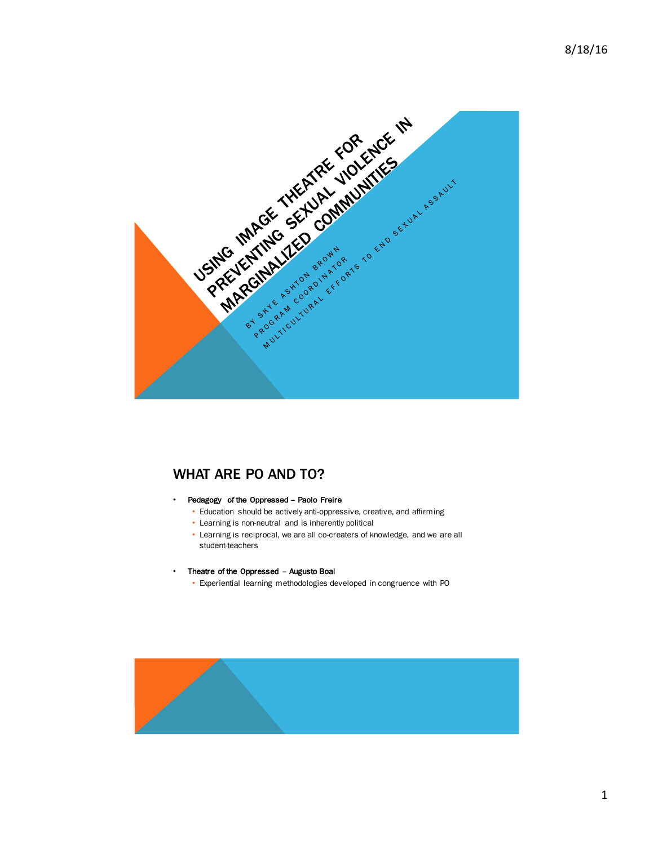

# WHAT ARE PO AND TO?

#### • Pedagogy of the Oppressed – Paolo Freire

- Education should be actively anti-oppressive, creative, and affirming
- Learning is non-neutral and is inherently political
- Learning is reciprocal, we are all co-creaters of knowledge, and we are all student-teachers

#### • Theatre of the Oppressed – Augusto Boal

• Experiential learning methodologies developed in congruence with PO

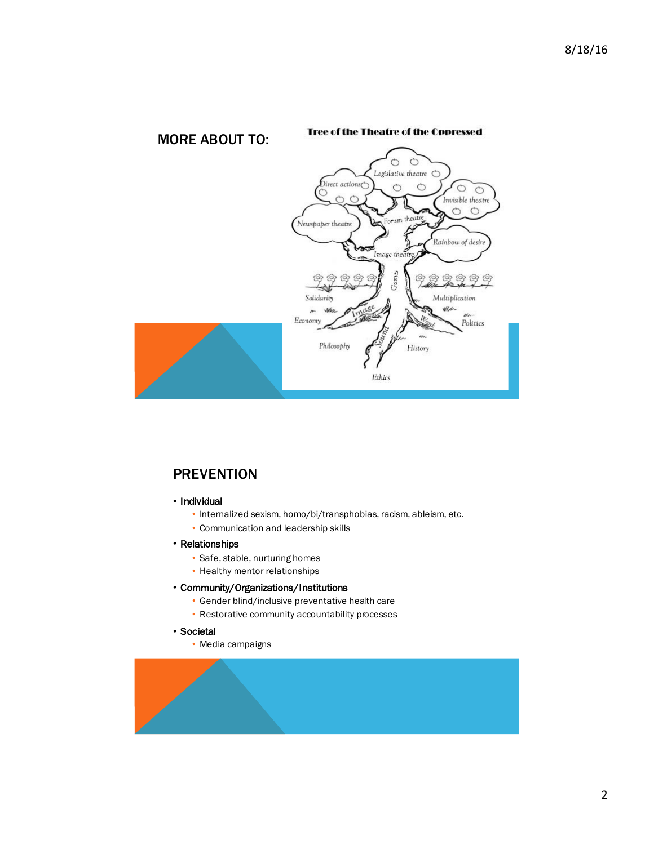

# **PREVENTION**

- Individual
	- Internalized sexism, homo/bi/transphobias, racism, ableism, etc.
	- Communication and leadership skills
- Relationships
	- Safe, stable, nurturing homes
	- Healthy mentor relationships
- Community/Organizations/Institutions
	- Gender blind/inclusive preventative health care
	- Restorative community accountability processes
- Societal
	- Media campaigns